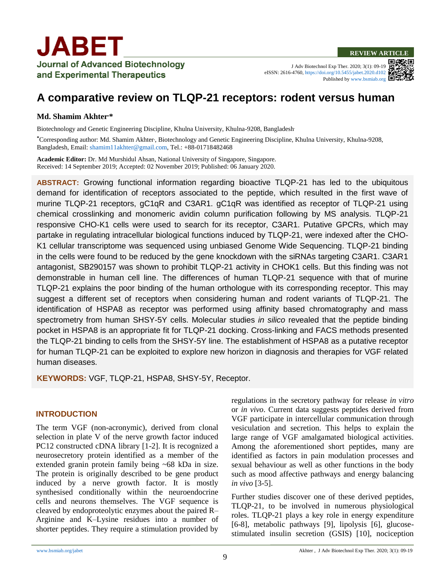J Adv Biotechnol Exp Ther. 2020; 3(1): 09-19 eISSN: 2616-4760,<https://doi.org/10.5455/jabet.2020.d102> Published b[y www.bsmiab.org](http://www.bsmiab.org/)

# **A comparative review on TLQP-21 receptors: rodent versus human**

#### **Md. Shamim Akhter,\***

Biotechnology and Genetic Engineering Discipline, Khulna University, Khulna-9208, Bangladesh.

**\***Corresponding author: Md. Shamim Akhter, , Biotechnology and Genetic Engineering Discipline, Khulna University, Khulna-9208, Bangladesh, Email[: shamim11akhter@gmail.com,](mailto:shamim11akhter@gmail.com) Tel.: +88-01718482468

**Academic Editor:** Dr. Md Murshidul Ahsan, National University of Singapore, Singapore. Received: 14 September 2019; Accepted: 02 November 2019; Published: 06 January 2020.

**ABSTRACT:** Growing functional information regarding bioactive TLQP-21 has led to the ubiquitous demand for identification of receptors associated to the peptide, which resulted in the first wave of murine TLQP-21 receptors, gC1qR and C3AR1. gC1qR was identified as receptor of TLQP-21 using chemical crosslinking and monomeric avidin column purification following by MS analysis. TLQP-21 responsive CHO-K1 cells were used to search for its receptor, C3AR1. Putative GPCRs, which may partake in regulating intracellular biological functions induced by TLQP-21, were indexed after the CHO-K1 cellular transcriptome was sequenced using unbiased Genome Wide Sequencing. TLQP-21 binding in the cells were found to be reduced by the gene knockdown with the siRNAs targeting C3AR1. C3AR1 antagonist, SB290157 was shown to prohibit TLQP-21 activity in CHOK1 cells. But this finding was not demonstrable in human cell line. The differences of human TLQP-21 sequence with that of murine TLQP-21 explains the poor binding of the human orthologue with its corresponding receptor. This may suggest a different set of receptors when considering human and rodent variants of TLQP-21. The identification of HSPA8 as receptor was performed using affinity based chromatography and mass spectrometry from human SHSY-5Y cells. Molecular studies *in silico* revealed that the peptide binding pocket in HSPA8 is an appropriate fit for TLQP-21 docking. Cross-linking and FACS methods presented the TLQP-21 binding to cells from the SHSY-5Y line. The establishment of HSPA8 as a putative receptor for human TLQP-21 can be exploited to explore new horizon in diagnosis and therapies for VGF related human diseases.

**KEYWORDS:** VGF, TLQP-21, HSPA8, SHSY-5Y, Receptor.

### **INTRODUCTION**

The term VGF (non-acronymic), derived from clonal selection in plate V of the nerve growth factor induced PC12 constructed cDNA library [1-2]. It is recognized a neurosecretory protein identified as a member of the extended granin protein family being ~68 kDa in size. The protein is originally described to be gene product induced by a nerve growth factor. It is mostly synthesised conditionally within the neuroendocrine cells and neurons themselves. The VGF sequence is cleaved by endoproteolytic enzymes about the paired R– Arginine and K–Lysine residues into a number of shorter peptides. They require a stimulation provided by regulations in the secretory pathway for release *in vitro* or *in vivo*. Current data suggests peptides derived from VGF participate in intercellular communication through vesiculation and secretion. This helps to explain the large range of VGF amalgamated biological activities. Among the aforementioned short peptides, many are identified as factors in pain modulation processes and sexual behaviour as well as other functions in the body such as mood affective pathways and energy balancing *in vivo* [3-5].

Further studies discover one of these derived peptides, TLQP-21, to be involved in numerous physiological roles. TLQP-21 plays a key role in energy expenditure [6-8], metabolic pathways [9], lipolysis [6], glucosestimulated insulin secretion (GSIS) [10], nociception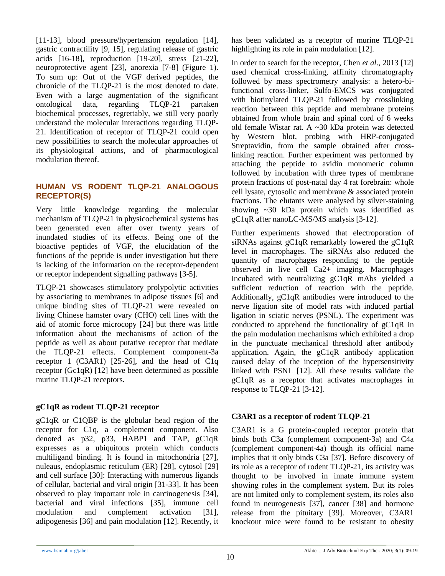[11-13], blood pressure/hypertension regulation [14], gastric contractility [9, 15], regulating release of gastric acids [16-18], reproduction [19-20], stress [21-22], neuroprotective agent [23], anorexia [7-8] (Figure 1). To sum up: Out of the VGF derived peptides, the chronicle of the TLQP-21 is the most denoted to date. Even with a large augmentation of the significant ontological data, regarding TLQP-21 partaken biochemical processes, regrettably, we still very poorly understand the molecular interactions regarding TLQP-21. Identification of receptor of TLQP-21 could open new possibilities to search the molecular approaches of its physiological actions, and of pharmacological modulation thereof.

# **HUMAN VS RODENT TLQP-21 ANALOGOUS RECEPTOR(S)**

Very little knowledge regarding the molecular mechanism of TLQP-21 in physicochemical systems has been generated even after over twenty years of inundated studies of its effects. Being one of the bioactive peptides of VGF, the elucidation of the functions of the peptide is under investigation but there is lacking of the information on the receptor-dependent or receptor independent signalling pathways [3-5].

TLQP-21 showcases stimulatory prolypolytic activities by associating to membranes in adipose tissues [6] and unique binding sites of TLQP-21 were revealed on living Chinese hamster ovary (CHO) cell lines with the aid of atomic force microcopy [24] but there was little information about the mechanisms of action of the peptide as well as about putative receptor that mediate the TLQP-21 effects. Complement component-3a receptor 1 (C3AR1) [25-26], and the head of C1q receptor (Gc1qR) [12] have been determined as possible murine TLQP-21 receptors.

# **gC1qR as rodent TLQP-21 receptor**

gC1qR or C1QBP is the globular head region of the receptor for C1q, a complement component. Also denoted as p32, p33, HABP1 and TAP, gC1qR expresses as a ubiquitous protein which conducts multiligand binding. It is found in mitochondria [27], nuleaus, endoplasmic reticulum (ER) [28], cytosol [29] and cell surface [30]: Interacting with numerous ligands of cellular, bacterial and viral origin [31-33]. It has been observed to play important role in carcinogenesis [34], bacterial and viral infections [35], immune cell modulation and complement activation [31], adipogenesis [36] and pain modulation [12]. Recently, it has been validated as a receptor of murine TLQP-21 highlighting its role in pain modulation [12].

In order to search for the receptor, Chen *et al*., 2013 [12] used chemical cross-linking, affinity chromatography followed by mass spectrometry analysis: a hetero-bifunctional cross-linker, Sulfo-EMCS was conjugated with biotinylated TLQP-21 followed by crosslinking reaction between this peptide and membrane proteins obtained from whole brain and spinal cord of 6 weeks old female Wistar rat. A ~30 kDa protein was detected by Western blot, probing with HRP-conjugated Streptavidin, from the sample obtained after crosslinking reaction. Further experiment was performed by attaching the peptide to avidin monomeric column followed by incubation with three types of membrane protein fractions of post-natal day 4 rat forebrain: whole cell lysate, cytosolic and membrane & associated protein fractions. The elutants were analysed by silver-staining showing ~30 kDa protein which was identified as gC1qR after nanoLC-MS/MS analysis [3-12].

Further experiments showed that electroporation of siRNAs against gC1qR remarkably lowered the gC1qR level in macrophages. The siRNAs also reduced the quantity of macrophages responding to the peptide observed in live cell Ca2+ imaging. Macrophages Incubated with neutralizing gC1qR mAbs yielded a sufficient reduction of reaction with the peptide. Additionally, gC1qR antibodies were introduced to the nerve ligation site of model rats with induced partial ligation in sciatic nerves (PSNL). The experiment was conducted to apprehend the functionality of gC1qR in the pain modulation mechanisms which exhibited a drop in the punctuate mechanical threshold after antibody application. Again, the gC1qR antibody application caused delay of the inception of the hypersensitivity linked with PSNL [12]. All these results validate the gC1qR as a receptor that activates macrophages in response to TLQP-21 [3-12].

# **C3AR1 as a receptor of rodent TLQP-21**

C3AR1 is a G protein-coupled receptor protein that binds both C3a (complement component-3a) and C4a (complement component-4a) though its official name implies that it only binds C3a [37]. Before discovery of its role as a receptor of rodent TLQP-21, its activity was thought to be involved in innate immune system showing roles in the complement system. But its roles are not limited only to complement system, its roles also found in neurogenesis [37], cancer [38] and hormone release from the pituitary [39]. Moreover, C3AR1 knockout mice were found to be resistant to obesity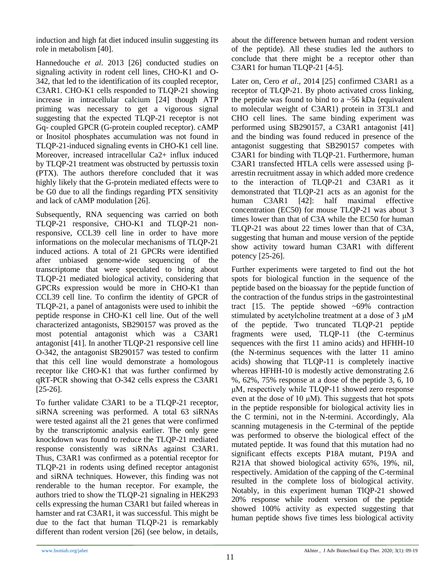induction and high fat diet induced insulin suggesting its role in metabolism [40].

Hannedouche *et al*. 2013 [26] conducted studies on signaling activity in rodent cell lines, CHO-K1 and O-342, that led to the identification of its coupled receptor, C3AR1. CHO-K1 cells responded to TLQP-21 showing increase in intracellular calcium [24] though ATP priming was necessary to get a vigorous signal suggesting that the expected TLQP-21 receptor is not Gq- coupled GPCR (G-protein coupled receptor). cAMP or Inositol phosphates accumulation was not found in TLQP-21-induced signaling events in CHO-K1 cell line. Moreover, increased intracellular Ca2+ influx induced by TLQP-21 treatment was obstructed by pertussis toxin (PTX). The authors therefore concluded that it was highly likely that the G-protein mediated effects were to be G0 due to all the findings regarding PTX sensitivity and lack of cAMP modulation [26].

Subsequently, RNA sequencing was carried on both TLQP-21 responsive, CHO-K1 and TLQP-21 nonresponsive, CCL39 cell line in order to have more informations on the molecular mechanisms of TLQP-21 induced actions. A total of 21 GPCRs were identified after unbiased genome-wide sequencing of the transcriptome that were speculated to bring about TLQP-21 mediated biological activity, considering that GPCRs expression would be more in CHO-K1 than CCL39 cell line. To confirm the identity of GPCR of TLQP-21, a panel of antagonists were used to inhibit the peptide response in CHO-K1 cell line. Out of the well characterized antagonists, SB290157 was proved as the most potential antagonist which was a C3AR1 antagonist [41]. In another TLQP-21 responsive cell line O-342, the antagonist SB290157 was tested to confirm that this cell line would demonstrate a homologous receptor like CHO-K1 that was further confirmed by qRT-PCR showing that O-342 cells express the C3AR1 [25-26].

To further validate C3AR1 to be a TLQP-21 receptor, siRNA screening was performed. A total 63 siRNAs were tested against all the 21 genes that were confirmed by the transcriptomic analysis earlier. The only gene knockdown was found to reduce the TLQP-21 mediated response consistently was siRNAs against C3AR1. Thus, C3AR1 was confirmed as a potential receptor for TLQP-21 in rodents using defined receptor antagonist and siRNA techniques. However, this finding was not renderable to the human receptor. For example, the authors tried to show the TLQP-21 signaling in HEK293 cells expressing the human C3AR1 but failed whereas in hamster and rat C3AR1, it was successful. This might be due to the fact that human TLQP-21 is remarkably different than rodent version [26] (see below, in details, about the difference between human and rodent version of the peptide). All these studies led the authors to conclude that there might be a receptor other than C3AR1 for human TLQP-21 [4-5].

Later on, Cero *et al*., 2014 [25] confirmed C3AR1 as a receptor of TLQP-21. By photo activated cross linking, the peptide was found to bind to a  $\sim$  56 kDa (equivalent to molecular weight of C3AR1) protein in 3T3L1 and CHO cell lines. The same binding experiment was performed using SB290157, a C3AR1 antagonist [41] and the binding was found reduced in presence of the antagonist suggesting that SB290157 competes with C3AR1 for binding with TLQP-21. Furthermore, human C3AR1 transfected HTLA cells were assessed using βarrestin recruitment assay in which added more credence to the interaction of TLQP-21 and C3AR1 as it demonstrated that TLQP-21 acts as an agonist for the human C3AR1 [42]: half maximal effective concentration (EC50) for mouse TLQP-21 was about 3 times lower than that of C3A while the EC50 for human TLQP-21 was about 22 times lower than that of C3A, suggesting that human and mouse version of the peptide show activity toward human C3AR1 with different potency [25-26].

Further experiments were targeted to find out the hot spots for biological function in the sequence of the peptide based on the bioassay for the peptide function of the contraction of the fundus strips in the gastrointestinal tract  $[15.$  The peptide showed  $~49\%$  contraction stimulated by acetylcholine treatment at a dose of 3 μM of the peptide. Two truncated TLQP-21 peptide fragments were used, TLQP-11 (the C-terminus sequences with the first 11 amino acids) and HFHH-10 (the N-terminus sequences with the latter 11 amino acids) showing that TLQP-11 is completely inactive whereas HFHH-10 is modestly active demonstrating 2.6 %, 62%, 75% response at a dose of the peptide 3, 6, 10 μM, respectively while TLQP-11 showed zero response even at the dose of 10  $\mu$ M). This suggests that hot spots in the peptide responsible for biological activity lies in the C termini, not in the N-termini. Accordingly, Ala scanning mutagenesis in the C-terminal of the peptide was performed to observe the biological effect of the mutated peptide. It was found that this mutation had no significant effects excepts P18A mutant, P19A and R21A that showed biological activity 65%, 19%, nil, respectively. Amidation of the capping of the C-terminal resulted in the complete loss of biological activity. Notably, in this experiment human TlQP-21 showed 20% response while rodent version of the peptide showed 100% activity as expected suggesting that human peptide shows five times less biological activity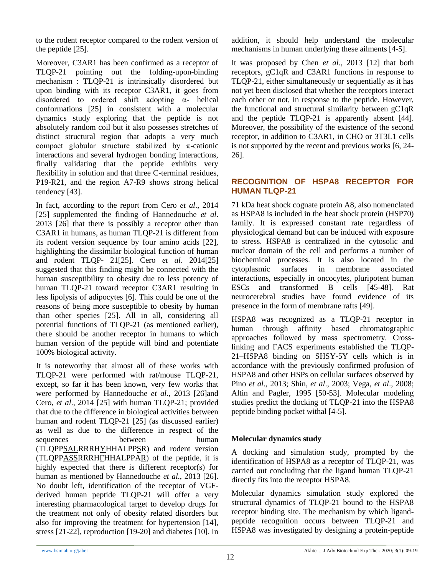to the rodent receptor compared to the rodent version of the peptide [25].

Moreover, C3AR1 has been confirmed as a receptor of TLQP-21 pointing out the folding-upon-binding mechanism : TLQP-21 is intrinsically disordered but upon binding with its receptor C3AR1, it goes from disordered to ordered shift adopting α- helical conformations [25] in consistent with a molecular dynamics study exploring that the peptide is not absolutely random coil but it also possesses stretches of distinct structural region that adopts a very much compact globular structure stabilized by  $\pi$ -cationic interactions and several hydrogen bonding interactions, finally validating that the peptide exhibits very flexibility in solution and that three C-terminal residues, P19-R21, and the region A7-R9 shows strong helical tendency [43].

In fact, according to the report from Cero *et al*., 2014 [25] supplemented the finding of Hannedouche *et al*. 2013 [26] that there is possibly a receptor other than C3AR1 in humans, as human TLQP-21 is different from its rodent version sequence by four amino acids [22], highlighting the dissimilar biological function of human and rodent TLQP- 21[25]. Cero *et al*. 2014[25] suggested that this finding might be connected with the human susceptibility to obesity due to less potency of human TLQP-21 toward receptor C3AR1 resulting in less lipolysis of adipocytes [6]. This could be one of the reasons of being more susceptible to obesity by human than other species [25]. All in all, considering all potential functions of TLQP-21 (as mentioned earlier), there should be another receptor in humans to which human version of the peptide will bind and potentiate 100% biological activity.

It is noteworthy that almost all of these works with TLQP-21 were performed with rat/mouse TLQP-21, except, so far it has been known, very few works that were performed by Hannedouche *et al*., 2013 [26]and Cero, *et al*., 2014 [25] with human TLQP-21; provided that due to the difference in biological activities between human and rodent TLQP-21 [25] (as discussed earlier) as well as due to the difference in respect of the sequences between human (TLQPPSALRRRHYHHALPPSR) and rodent version (TLQPPASSRRRHFHHALPPAR) of the peptide, it is highly expected that there is different receptor(s) for human as mentioned by Hannedouche *et al*., 2013 [26]. No doubt left, identification of the receptor of VGFderived human peptide TLQP-21 will offer a very interesting pharmacological target to develop drugs for the treatment not only of obesity related disorders but also for improving the treatment for hypertension [14], stress [21-22], reproduction [19-20] and diabetes [10]. In

addition, it should help understand the molecular mechanisms in human underlying these ailments [4-5].

It was proposed by Chen *et al*., 2013 [12] that both receptors, gC1qR and C3AR1 functions in response to TLQP-21, either simultaneously or sequentially as it has not yet been disclosed that whether the receptors interact each other or not, in response to the peptide. However, the functional and structural similarity between gC1qR and the peptide TLQP-21 is apparently absent [44]. Moreover, the possibility of the existence of the second receptor, in addition to C3AR1, in CHO or 3T3L1 cells is not supported by the recent and previous works [6, 24- 26].

## **RECOGNITION OF HSPA8 RECEPTOR FOR HUMAN TLQP-21**

71 kDa heat shock cognate protein A8, also nomenclated as HSPA8 is included in the heat shock protein (HSP70) family. It is expressed constant rate regardless of physiological demand but can be induced with exposure to stress. HSPA8 is centralized in the cytosolic and nuclear domain of the cell and performs a number of biochemical processes. It is also located in the cytoplasmic surfaces in membrane associated interactions, especially in oncocytes, pluripotent human ESCs and transformed B cells [45-48]. Rat neurocerebral studies have found evidence of its presence in the form of membrane rafts [49].

HSPA8 was recognized as a TLQP-21 receptor in human through affinity based chromatographic approaches followed by mass spectrometry. Crosslinking and FACS experiments established the TLQP-21–HSPA8 binding on SHSY-5Y cells which is in accordance with the previously confirmed profusion of HSPA8 and other HSPs on cellular surfaces observed by Pino *et al*., 2013; Shin, *et al*., 2003; Vega, *et al*., 2008; Altin and Pagler, 1995 [50-53]. Molecular modeling studies predict the docking of TLQP-21 into the HSPA8 peptide binding pocket withal [4-5].

# **Molecular dynamics study**

A docking and simulation study, prompted by the identification of HSPA8 as a receptor of TLQP-21, was carried out concluding that the ligand human TLQP-21 directly fits into the receptor HSPA8.

Molecular dynamics simulation study explored the structural dynamics of TLQP-21 bound to the HSPA8 receptor binding site. The mechanism by which ligandpeptide recognition occurs between TLQP-21 and HSPA8 was investigated by designing a protein-peptide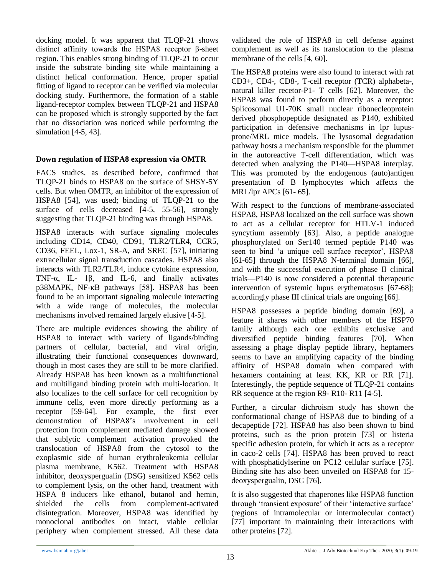docking model. It was apparent that TLQP-21 shows distinct affinity towards the HSPA8 receptor β-sheet region. This enables strong binding of TLQP-21 to occur inside the substrate binding site while maintaining a distinct helical conformation. Hence, proper spatial fitting of ligand to receptor can be verified via molecular docking study. Furthermore, the formation of a stable ligand-receptor complex between TLQP-21 and HSPA8 can be proposed which is strongly supported by the fact that no dissociation was noticed while performing the simulation [4-5, 43].

## **Down regulation of HSPA8 expression via OMTR**

FACS studies, as described before, confirmed that TLQP-21 binds to HSPA8 on the surface of SHSY-5Y cells. But when OMTR, an inhibitor of the expression of HSPA8 [54], was used; binding of TLQP-21 to the surface of cells decreased [4-5, 55-56], strongly suggesting that TLQP-21 binding was through HSPA8.

HSPA8 interacts with surface signaling molecules including CD14, CD40, CD91, TLR2/TLR4, CCR5, CD36, FEEL, Lox-1, SR-A, and SREC [57], initiating extracellular signal transduction cascades. HSPA8 also interacts with TLR2/TLR4, induce cytokine expression, TNF-α, IL- 1β, and IL-6, and finally activates p38MAPK, NF-κB pathways [58]. HSPA8 has been found to be an important signaling molecule interacting with a wide range of molecules, the molecular mechanisms involved remained largely elusive [4-5].

There are multiple evidences showing the ability of HSPA8 to interact with variety of ligands/binding partners of cellular, bacterial, and viral origin, illustrating their functional consequences downward, though in most cases they are still to be more clarified. Already HSPA8 has been known as a multifunctional and multiligand binding protein with multi-location. It also localizes to the cell surface for cell recognition by immune cells, even more directly performing as a receptor [59-64]. For example, the first ever demonstration of HSPA8's involvement in cell protection from complement mediated damage showed that sublytic complement activation provoked the translocation of HSPA8 from the cytosol to the exoplasmic side of human erythroleukemia cellular plasma membrane, K562. Treatment with HSPA8 inhibitor, deoxyspergualin (DSG) sensitized K562 cells to complement lysis, on the other hand, treatment with HSPA 8 inducers like ethanol, butanol and hemin, shielded the cells from complement-activated disintegration. Moreover, HSPA8 was identified by monoclonal antibodies on intact, viable cellular periphery when complement stressed. All these data

validated the role of HSPA8 in cell defense against complement as well as its translocation to the plasma membrane of the cells [4, 60].

The HSPA8 proteins were also found to interact with rat CD3+, CD4-, CD8-, T-cell receptor (TCR) alphabeta-, natural killer recetor-P1- T cells [62]. Moreover, the HSPA8 was found to perform directly as a receptor: Splicosomal U1-70K small nuclear ribonecleoprotein derived phosphopeptide designated as P140, exhibited participation in defensive mechanisms in lpr lupusprone/MRL mice models. The lysosomal degradation pathway hosts a mechanism responsible for the plummet in the autoreactive T-cell differentiation, which was detected when analyzing the P140—HSPA8 interplay. This was promoted by the endogenous (auto)antigen presentation of B lymphocytes which affects the MRL/lpr APCs [61- 65].

With respect to the functions of membrane-associated HSPA8, HSPA8 localized on the cell surface was shown to act as a cellular receptor for HTLV-1 induced syncytium assembly [63]. Also, a peptide analogue phosphorylated on Ser140 termed peptide P140 was seen to bind 'a unique cell surface receptor', HSPA8 [61-65] through the HSPA8 N-terminal domain [66], and with the successful execution of phase II clinical trials—P140 is now considered a potential therapeutic intervention of systemic lupus erythematosus [67-68]; accordingly phase III clinical trials are ongoing [66].

HSPA8 possesses a peptide binding domain [69], a feature it shares with other members of the HSP70 family although each one exhibits exclusive and diversified peptide binding features [70]. When assessing a phage display peptide library, heptamers seems to have an amplifying capacity of the binding affinity of HSPA8 domain when compared with hexamers containing at least KK, KR or RR [71]. Interestingly, the peptide sequence of TLQP-21 contains RR sequence at the region R9- R10- R11 [4-5].

Further, a circular dichroism study has shown the conformational change of HSPA8 due to binding of a decapeptide [72]. HSPA8 has also been shown to bind proteins, such as the prion protein [73] or listeria specific adhesion protein, for which it acts as a receptor in caco-2 cells [74]. HSPA8 has been proved to react with phosphatidylserine on PC12 cellular surface [75]. Binding site has also been unveiled on HSPA8 for 15 deoxyspergualin, DSG [76].

It is also suggested that chaperones like HSPA8 function through 'transient exposure' of their 'interactive surface' (regions of intramolecular or intermolecular contact) [77] important in maintaining their interactions with other proteins [72].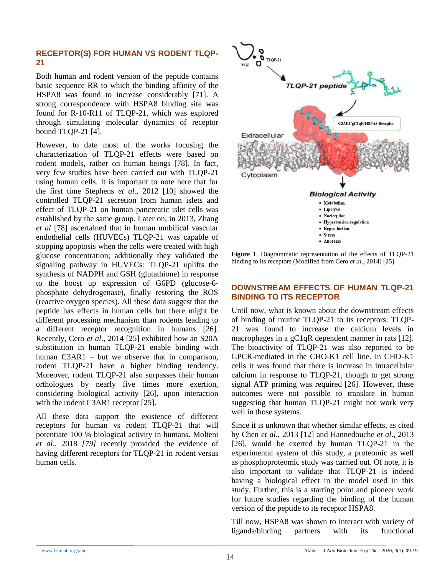#### **RECEPTOR(S) FOR HUMAN VS RODENT TLQP-21**

Both human and rodent version of the peptide contains basic sequence RR to which the binding affinity of the HSPA8 was found to increase considerably [71]. A strong correspondence with HSPA8 binding site was found for R-10-R11 of TLQP-21, which was explored through simulating molecular dynamics of receptor bound TLQP-21 [4].

However, to date most of the works focusing the characterization of TLQP-21 effects were based on rodent models, rather on human beings [78]. In fact, very few studies have been carried out with TLQP-21 using human cells. It is important to note here that for the first time Stephens *et al*., 2012 [10] showed the controlled TLQP-21 secretion from human islets and effect of TLQP-21 on human pancreatic islet cells was established by the same group. Later on, in 2013, Zhang *et al* [78] ascertained that in human umbilical vascular endothelial cells (HUVECs) TLQP-21 was capable of stopping apoptosis when the cells were treated with high glucose concentration; additionally they validated the signaling pathway in HUVECs: TLQP-21 uplifts the synthesis of NADPH and GSH (glutathione) in response to the boost up expression of G6PD (glucose-6 phosphate dehydrogenase), finally restoring the ROS (reactive oxygen species). All these data suggest that the peptide has effects in human cells but there might be different processing mechanism than rodents leading to a different receptor recognition in humans [26]. Recently, Cero *et al*., 2014 [25] exhibited how an S20A substitution in human TLQP-21 enable binding with human C3AR1 – but we observe that in comparison, rodent TLQP-21 have a higher binding tendency. Moreover, rodent TLQP-21 also surpasses their human orthologues by nearly five times more exertion, considering biological activity [26], upon interaction with the rodent C3AR1 receptor [25].

All these data support the existence of different receptors for human vs rodent TLQP-21 that will potentiate 100 % biological activity in humans. Molteni *et al*., 2018 *[79]* recently provided the evidence of having different receptors for TLQP-21 in rodent versus human cells.



**Figure 1**. Diagrammatic representation of the effects of TLQP-21 binding to its receptors (Modified from Cero *et al*., 2014) [25].

#### **DOWNSTREAM EFFECTS OF HUMAN TLQP-21 BINDING TO ITS RECEPTOR**

Until now, what is known about the downstream effects of binding of murine TLQP-21 to its receptors: TLQP-21 was found to increase the calcium levels in macrophages in a gC1qR dependent manner in rats [12]. The bioactivity of TLQP-21 was also reported to be GPCR-mediated in the CHO-K1 cell line. In CHO-K1 cells it was found that there is increase in intracellular calcium in response to TLQP-21, though to get strong signal ATP priming was required [26]. However, these outcomes were not possible to translate in human suggesting that human TLQP-21 might not work very well in those systems.

Since it is unknown that whether similar effects, as cited by Chen *et al*., 2013 [12] and Hannedouche *et al*., 2013 [26], would be exerted by human TLQP-21 in the experimental system of this study, a proteomic as well as phosphoproteomic study was carried out. Of note, it is also important to validate that TLQP-21 is indeed having a biological effect in the model used in this study. Further, this is a starting point and pioneer work for future studies regarding the binding of the human version of the peptide to its receptor HSPA8.

Till now, HSPA8 was shown to interact with variety of ligands/binding partners with its functional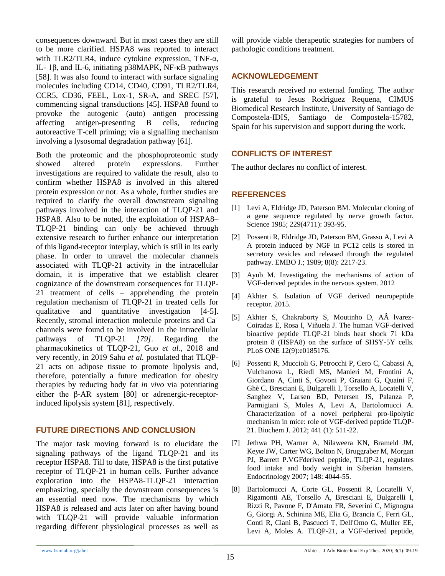consequences downward. But in most cases they are still to be more clarified. HSPA8 was reported to interact with TLR2/TLR4, induce cytokine expression, TNF- $\alpha$ , IL- 1β, and IL-6, initiating p38MAPK, NF-κB pathways [58]. It was also found to interact with surface signaling molecules including CD14, CD40, CD91, TLR2/TLR4, CCR5, CD36, FEEL, Lox-1, SR-A, and SREC [57], commencing signal transductions [45]. HSPA8 found to provoke the autogenic (auto) antigen processing affecting antigen-presenting B cells, reducing autoreactive T-cell priming; via a signalling mechanism involving a lysosomal degradation pathway [61].

Both the proteomic and the phosphoproteomic study showed altered protein expressions. Further investigations are required to validate the result, also to confirm whether HSPA8 is involved in this altered protein expression or not. As a whole, further studies are required to clarify the overall downstream signaling pathways involved in the interaction of TLQP-21 and HSPA8. Also to be noted, the exploitation of HSPA8– TLQP-21 binding can only be achieved through extensive research to further enhance our interpretation of this ligand-receptor interplay, which is still in its early phase. In order to unravel the molecular channels associated with TLQP-21 activity in the intracellular domain, it is imperative that we establish clearer cognizance of the downstream consequences for TLQP-21 treatment of cells – apprehending the protein regulation mechanism of TLQP-21 in treated cells for qualitative and quantitative investigation [4-5]. Recently, stromal interaction molecule proteins and Ca<sup>+</sup> channels were found to be involved in the intracellular pathways of TLQP-21 *[79]*. Regarding the pharmacokinetics of TLQP-21, Guo *et al*., 2018 and very recently, in 2019 Sahu *et al.* postulated that TLQP-21 acts on adipose tissue to promote lipolysis and, therefore, potentially a future medication for obesity therapies by reducing body fat *in vivo* via potentiating either the β-AR system [80] or adrenergic-receptorinduced lipolysis system [81], respectively*.*

#### **FUTURE DIRECTIONS AND CONCLUSION**

The major task moving forward is to elucidate the signaling pathways of the ligand TLQP-21 and its receptor HSPA8. Till to date, HSPA8 is the first putative receptor of TLQP-21 in human cells. Further advance exploration into the HSPA8-TLQP-21 interaction emphasizing, specially the downstream consequences is an essential need now. The mechanisms by which HSPA8 is released and acts later on after having bound with TLQP-21 will provide valuable information regarding different physiological processes as well as will provide viable therapeutic strategies for numbers of pathologic conditions treatment.

# **ACKNOWLEDGEMENT**

This research received no external funding. The author is grateful to Jesus Rodriguez Requena, CIMUS Biomedical Research Institute, University of Santiago de Compostela-IDIS, Santiago de Compostela-15782, Spain for his supervision and support during the work.

## **CONFLICTS OF INTEREST**

The author declares no conflict of interest.

# **REFERENCES**

- [1] Levi A, Eldridge JD, Paterson BM. Molecular cloning of a gene sequence regulated by nerve growth factor. Science 1985; 229(4711): 393-95.
- [2] Possenti R, Eldridge JD, Paterson BM, Grasso A, Levi A A protein induced by NGF in PC12 cells is stored in secretory vesicles and released through the regulated pathway. EMBO J.; 1989; 8(8): 2217-23.
- [3] Ayub M. Investigating the mechanisms of action of VGF-derived peptides in the nervous system. 2012
- [4] Akhter S. Isolation of VGF derived neuropeptide receptor. 2015.
- [5] Akhter S, Chakraborty S, Moutinho D, AÂ lvarez-Coiradas E, Rosa I, Viñuela J. The human VGF-derived bioactive peptide TLQP-21 binds heat shock 71 kDa protein 8 (HSPA8) on the surface of SHSY-5Y cells. PLoS ONE 12(9):e0185176.
- [6] Possenti R, Muccioli G, Petrocchi P, Cero C, Cabassi A, Vulchanova L, Riedl MS, Manieri M, Frontini A, Giordano A, Cinti S, Govoni P, Graiani G, Quaini F, Ghè C, Bresciani E, Bulgarelli I, Torsello A, Locatelli V, Sanghez V, Larsen BD, Petersen JS, Palanza P, Parmigiani S, Moles A, Levi A, Bartolomucci A. Characterization of a novel peripheral pro-lipolytic mechanism in mice: role of VGF-derived peptide TLQP-21. Biochem J. 2012; 441 (1): 511-22.
- [7] Jethwa PH, Warner A, Nilaweera KN, Brameld JM, Keyte JW, Carter WG, Bolton N, Bruggraber M, Morgan PJ, Barrett P.VGFderived peptide, TLQP-21, regulates food intake and body weight in Siberian hamsters. Endocrinology 2007; 148: 4044-55.
- [8] Bartolomucci A, Corte GL, Possenti R, Locatelli V, Rigamonti AE, Torsello A, Bresciani E, Bulgarelli I, Rizzi R, Pavone F, D'Amato FR, Severini C, Mignogna G, Giorgi A, Schinina ME, Elia G, Brancia C, Ferri GL, Conti R, Ciani B, Pascucci T, Dell'Omo G, Muller EE, Levi A, Moles A. TLQP-21, a VGF-derived peptide,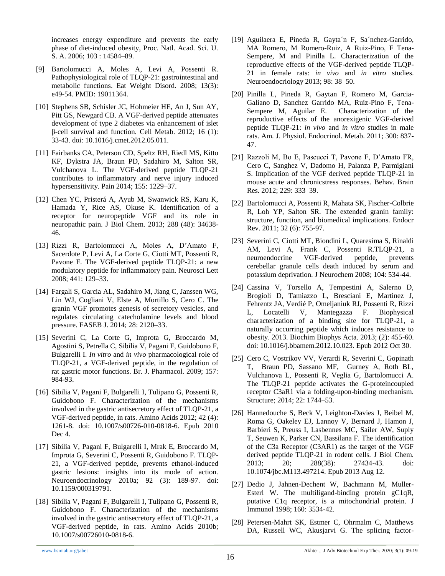increases energy expenditure and prevents the early phase of diet-induced obesity, Proc. Natl. Acad. Sci. U. S. A. 2006; 103 : 14584–89.

- [9] Bartolomucci A, Moles A, Levi A, Possenti R. Pathophysiological role of TLQP-21: gastrointestinal and metabolic functions. Eat Weight Disord. 2008; 13(3): e49-54. PMID: 19011364.
- [10] Stephens SB, Schisler JC, Hohmeier HE, An J, Sun AY, Pitt GS, Newgard CB. A VGF-derived peptide attenuates development of type 2 diabetes via enhancement of islet β-cell survival and function. Cell Metab. 2012; 16 (1): 33-43. doi: 10.1016/j.cmet.2012.05.011.
- [11] Fairbanks CA, Peterson CD, Speltz RH, Riedl MS, Kitto KF, Dykstra JA, Braun PD, Sadahiro M, Salton SR, Vulchanova L. The VGF-derived peptide TLQP-21 contributes to inflammatory and nerve injury induced hypersensitivity. Pain 2014; 155: 1229–37.
- [12] Chen YC, Pristerá A, Ayub M, Swanwick RS, Karu K, Hamada Y, Rice AS, Okuse K. Identification of a receptor for neuropeptide VGF and its role in neuropathic pain. J Biol Chem. 2013; 288 (48): 34638- 46.
- [13] Rizzi R, Bartolomucci A, Moles A, D'Amato F, Sacerdote P, Levi A, La Corte G, Ciotti MT, Possenti R, Pavone F. The VGF-derived peptide TLQP-21: a new modulatory peptide for inflammatory pain. Neurosci Lett 2008; 441: 129–33.
- [14] Fargali S, Garcia AL, Sadahiro M, Jiang C, Janssen WG, Lin WJ, Cogliani V, Elste A, Mortillo S, Cero C. The granin VGF promotes genesis of secretory vesicles, and regulates circulating catecholamine levels and blood pressure. FASEB J. 2014; 28: 2120–33.
- [15] Severini C, La Corte G, Improta G, Broccardo M, Agostini S, Petrella C, Sibilia V, Pagani F, Guidobono F, Bulgarelli I. *In vitro* and *in vivo* pharmacological role of TLQP-21, a VGF-derived peptide, in the regulation of rat gastric motor functions. Br. J. Pharmacol. 2009; 157: 984-93.
- [16] Sibilia V, Pagani F, Bulgarelli I, Tulipano G, Possenti R, Guidobono F. Characterization of the mechanisms involved in the gastric antisecretory effect of TLQP-21, a VGF-derived peptide, in rats. Amino Acids 2012; 42 (4): 1261-8. doi: 10.1007/s00726-010-0818-6. Epub 2010 Dec 4.
- [17] Sibilia V, Pagani F, Bulgarelli I, Mrak E, Broccardo M, Improta G, Severini C, Possenti R, Guidobono F. TLQP-21, a VGF-derived peptide, prevents ethanol-induced gastric lesions: insights into its mode of action. Neuroendocrinology 2010a; 92 (3): 189-97. doi: 10.1159/000319791.
- [18] Sibilia V, Pagani F, Bulgarelli I, Tulipano G, Possenti R, Guidobono F. Characterization of the mechanisms involved in the gastric antisecretory effect of TLQP-21, a VGF-derived peptide, in rats. Amino Acids 2010b; 10.1007/s00726010-0818-6.
- [19] Aguilaera E, Pineda R, Gayta´n F, Sa´nchez-Garrido, MA Romero, M Romero-Ruiz, A Ruiz-Pino, F Tena-Sempere, M and Pinilla L. Characterization of the reproductive effects of the VGF-derived peptide TLQP-21 in female rats: *in vivo* and *in vitro* studies. Neuroendocriology 2013; 98: 38–50.
- [20] Pinilla L, Pineda R, Gaytan F, Romero M, Garcia-Galiano D, Sanchez Garrido MA, Ruiz-Pino F, Tena-Sempere M, Aguilar E. Characterization of the reproductive effects of the anorexigenic VGF-derived peptide TLQP-21: *in vivo* and *in vitro* studies in male rats. Am. J. Physiol. Endocrinol. Metab. 2011; 300: 837- 47.
- [21] Razzoli M, Bo E, Pascucci T, Pavone F, D'Amato FR, Cero C, Sanghez V, Dadomo H, Palanza P, Parmigiani S. Implication of the VGF derived peptide TLQP-21 in mouse acute and chronicstress responses. Behav. Brain Res. 2012; 229: 333–39.
- [22] Bartolomucci A, Possenti R, Mahata SK, Fischer-Colbrie R, Loh YP, Salton SR. The extended granin family: structure, function, and biomedical implications. Endocr Rev. 2011; 32 (6): 755-97.
- [23] Severini C, Ciotti MT, Biondini L, Quaresima S, Rinaldi AM, Levi A, Frank C, Possenti R.TLQP-21, a neuroendocrine VGF-derived peptide, prevents cerebellar granule cells death induced by serum and potassium deprivation. J Neurochem 2008; 104: 534-44.
- [24] Cassina V, Torsello A, Tempestini A, Salerno D, Brogioli D, Tamiazzo L, Bresciani E, Martinez J, Fehrentz JA, Verdié P, Omeljaniuk RJ, Possenti R, Rizzi L, Locatelli V, Mantegazza F. Biophysical characterization of a binding site for TLQP-21, a naturally occurring peptide which induces resistance to obesity. 2013. Biochim Biophys Acta. 2013; (2): 455-60. doi: 10.1016/j.bbamem.2012.10.023. Epub 2012 Oct 30.
- [25] Cero C, Vostrikov VV, Verardi R, Severini C, Gopinath T, Braun PD, Sassano MF, Gurney A, Roth BL, Vulchanova L, Possenti R, Veglia G, Bartolomucci A. The TLQP-21 peptide activates the G-proteincoupled receptor C3aR1 via a folding-upon-binding mechanism. Structure; 2014; 22: 1744–53.
- [26] Hannedouche S, Beck V, Leighton-Davies J, Beibel M, Roma G, Oakeley EJ, Lannoy V, Bernard J, Hamon J, Barbieri S, Preuss I, Lasbennes MC, Sailer AW, Suply T, Seuwen K, Parker CN, Bassilana F. The identification of the C3a Receptor (C3AR1) as the target of the VGF derived peptide TLQP-21 in rodent cells. J Biol Chem. 2013; 20; 288(38): 27434-43. doi: 10.1074/jbc.M113.497214. Epub 2013 Aug 12.
- [27] Dedio J, Jahnen-Dechent W, Bachmann M, Muller-Esterl W. The multiligand-binding protein gC1qR, putative C1q receptor, is a mitochondrial protein. J Immunol 1998; 160: 3534-42.
- [28] Petersen-Mahrt SK, Estmer C, Ohrmalm C, Matthews DA, Russell WC, Akusjarvi G. The splicing factor-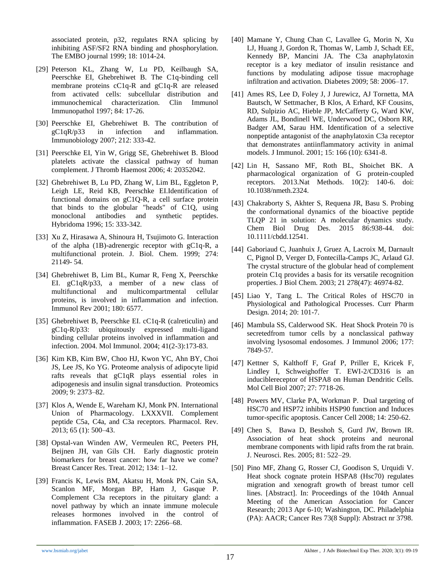associated protein, p32, regulates RNA splicing by inhibiting ASF/SF2 RNA binding and phosphorylation. The EMBO journal 1999; 18: 1014-24.

- [29] Peterson KL, Zhang W, Lu PD, Keilbaugh SA, Peerschke EI, Ghebrehiwet B. The C1q-binding cell membrane proteins cC1q-R and gC1q-R are released from activated cells: subcellular distribution and immunochemical characterization. Clin Immunol Immunopathol 1997; 84: 17-26.
- [30] Peerschke EI, Ghebrehiwet B. The contribution of gC1qR/p33 in infection and inflammation. Immunobiology 2007; 212: 333-42.
- [31] Peerschke EI, Yin W, Grigg SE, Ghebrehiwet B. Blood platelets activate the classical pathway of human complement. J Thromb Haemost 2006; 4: 20352042.
- [32] Ghebrehiwet B, Lu PD, Zhang W, Lim BL, Eggleton P, Leigh LE, Reid KB, Peerschke EI.Identification of functional domains on gC1Q-R, a cell surface protein that binds to the globular "heads" of C1Q, using monoclonal antibodies and synthetic peptides. Hybridoma 1996; 15: 333-342.
- [33] Xu Z, Hirasawa A, Shinoura H, Tsujimoto G. Interaction of the alpha (1B)-adrenergic receptor with gC1q-R, a multifunctional protein. J. Biol. Chem. 1999; 274: 21149- 54.
- [34] Ghebrehiwet B, Lim BL, Kumar R, Feng X, Peerschke EI. gC1qR/p33, a member of a new class of multifunctional and multicompartmental cellular proteins, is involved in inflammation and infection. Immunol Rev 2001; 180: 6577.
- [35] Ghebrehiwet B, Peerschke EI. cC1q-R (calreticulin) and gC1q-R/p33: ubiquitously expressed multi-ligand binding cellular proteins involved in inflammation and infection. 2004. Mol Immunol. 2004; 41(2-3):173-83.
- [36] Kim KB, Kim BW, Choo HJ, Kwon YC, Ahn BY, Choi JS, Lee JS, Ko YG. Proteome analysis of adipocyte lipid rafts reveals that gC1qR plays essential roles in adipogenesis and insulin signal transduction. Proteomics 2009; 9: 2373–82.
- [37] Klos A, Wende E, Wareham KJ, Monk PN. International Union of Pharmacology. LXXXVII. Complement peptide C5a, C4a, and C3a receptors. Pharmacol. Rev. 2013; 65 (1): 500–43.
- [38] Opstal-van Winden AW, Vermeulen RC, Peeters PH, Beijnen JH, van Gils CH. Early diagnostic protein biomarkers for breast cancer: how far have we come? Breast Cancer Res. Treat. 2012; 134: 1–12.
- [39] Francis K, Lewis BM, Akatsu H, Monk PN, Cain SA, Scanlon MF, Morgan BP, Ham J, Gasque P. Complement C3a receptors in the pituitary gland: a novel pathway by which an innate immune molecule releases hormones involved in the control of inflammation. FASEB J. 2003; 17: 2266–68.
- [40] Mamane Y, Chung Chan C, Lavallee G, Morin N, Xu LJ, Huang J, Gordon R, Thomas W, Lamb J, Schadt EE, Kennedy BP, Mancini JA. The C3a anaphylatoxin receptor is a key mediator of insulin resistance and functions by modulating adipose tissue macrophage infiltration and activation. Diabetes 2009; 58: 2006–17.
- [41] Ames RS, Lee D, Foley J, J Jurewicz, AJ Tornetta, MA Bautsch, W Settmacher, B Klos, A Erhard, KF Cousins, RD, Sulpizio AC, Hieble JP, McCafferty G, Ward KW, Adams JL, Bondinell WE, Underwood DC, Osborn RR, Badger AM, Sarau HM. Identification of a selective nonpeptide antagonist of the anaphylatoxin C3a receptor that demonstrates antiinflammatory activity in animal models. J Immunol. 2001; 15: 166 (10): 6341-8.
- [42] Lin H, Sassano MF, Roth BL, Shoichet BK. A pharmacological organization of G protein-coupled receptors. 2013.Nat Methods. 10(2): 140-6. doi: 10.1038/nmeth.2324.
- [43] Chakraborty S, Akhter S, Requena JR, Basu S. Probing the conformational dynamics of the bioactive peptide TLQP 21 in solution: A molecular dynamics study. Chem Biol Drug Des. 2015 86:938-44. doi: 10.1111/cbdd.12541.
- [44] Gaboriaud C, Juanhuix J, Gruez A, Lacroix M, Darnault C, Pignol D, Verger D, Fontecilla-Camps JC, Arlaud GJ. The crystal structure of the globular head of complement protein C1q provides a basis for its versatile recognition properties. J Biol Chem. 2003; 21 278(47): 46974-82.
- [45] Liao Y, Tang L. The Critical Roles of HSC70 in Physiological and Pathological Processes. Curr Pharm Design. 2014; 20: 101-7.
- [46] Mambula SS, Calderwood SK. Heat Shock Protein 70 is secretedfrom tumor cells by a nonclassical pathway involving lysosomal endosomes. J Immunol 2006; 177: 7849-57.
- [47] Kettner S, Kalthoff F, Graf P, Priller E, Kricek F, Lindley I, Schweighoffer T. EWI-2/CD316 is an induciblereceptor of HSPA8 on Human Dendritic Cells. Mol Cell Biol 2007; 27: 7718-26.
- [48] Powers MV, Clarke PA, Workman P. Dual targeting of HSC70 and HSP72 inhibits HSP90 function and Induces tumor-specific apoptosis. Cancer Cell 2008; 14: 250-62.
- [49] Chen S, Bawa D, Besshoh S, Gurd JW, Brown IR. Association of heat shock proteins and neuronal membrane components with lipid rafts from the rat brain. J. Neurosci. Res. 2005; 81: 522–29.
- [50] Pino MF, Zhang G, Rosser CJ, Goodison S, Urquidi V. Heat shock cognate protein HSPA8 (Hsc70) regulates migration and xenograft growth of breast tumor cell lines. [Abstract]. In: Proceedings of the 104th Annual Meeting of the American Association for Cancer Research; 2013 Apr 6-10; Washington, DC. Philadelphia (PA): AACR; Cancer Res 73(8 Suppl): Abstract nr 3798.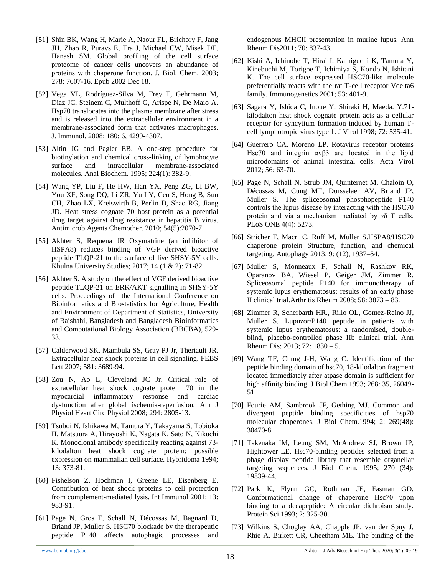- [51] Shin BK, Wang H, Marie A, Naour FL, Brichory F, Jang JH, Zhao R, Puravs E, Tra J, Michael CW, Misek DE, Hanash SM. Global profiling of the cell surface proteome of cancer cells uncovers an abundance of proteins with chaperone function. J. Biol. Chem. 2003; 278: 7607-16. Epub 2002 Dec 18.
- [52] Vega VL, Rodríguez-Silva M, Frey T, Gehrmann M, Diaz JC, Steinem C, Multhoff G, Arispe N, De Maio A. Hsp70 translocates into the plasma membrane after stress and is released into the extracellular environment in a membrane-associated form that activates macrophages. J. Immunol. 2008; 180: 6, 4299-4307.
- [53] Altin JG and Pagler EB. A one-step procedure for biotinylation and chemical cross-linking of lymphocyte surface and intracellular membrane-associated molecules. Anal Biochem. 1995; 224(1): 382-9.
- [54] Wang YP, Liu F, He HW, Han YX, Peng ZG, Li BW, You XF, Song DQ, Li ZR, Yu LY, Cen S, Hong B, Sun CH, Zhao LX, Kreiswirth B, Perlin D, Shao RG, Jiang JD. Heat stress cognate 70 host protein as a potential drug target against drug resistance in hepatitis B virus. Antimicrob Agents Chemother. 2010; 54(5):2070-7.
- [55] Akhter S, Requena JR Oxymatrine (an inhibitor of HSPA8) reduces binding of VGF derived bioactive peptide TLQP-21 to the surface of live SHSY-5Y cells. Khulna University Studies; 2017; 14 (1 & 2): 71-82.
- [56] Akhter S. A study on the effect of VGF derived bioactive peptide TLQP-21 on ERK/AKT signalling in SHSY-5Y cells. Proceedings of the International Conference on Bioinformatics and Biostatistics for Agriculture, Health and Environment of Department of Statistics, University of Rajshahi, Bangladesh and Bangladesh Bioinformatics and Computational Biology Association (BBCBA), 529- 33.
- [57] Calderwood SK, Mambula SS, Gray PJ Jr, Theriault JR. Extracellular heat shock proteins in cell signaling. FEBS Lett 2007; 581: 3689-94.
- [58] Zou N, Ao L, Cleveland JC Jr. Critical role of extracellular heat shock cognate protein 70 in the myocardial inflammatory response and cardiac dysfunction after global ischemia-reperfusion. Am J Physiol Heart Circ Physiol 2008; 294: 2805-13.
- [59] Tsuboi N, Ishikawa M, Tamura Y, Takayama S, Tobioka H, Matsuura A, Hirayoshi K, Nagata K, Sato N, Kikuchi K. Monoclonal antibody specifically reacting against 73 kilodalton heat shock cognate protein: possible expression on mammalian cell surface. Hybridoma 1994; 13: 373-81.
- [60] Fishelson Z, Hochman I, Greene LE, Eisenberg E. Contribution of heat shock proteins to cell protection from complement-mediated lysis. Int Immunol 2001; 13: 983-91.
- [61] Page N, Gros F, Schall N, Décossas M, Bagnard D, Briand JP, Muller S. HSC70 blockade by the therapeutic peptide P140 affects autophagic processes and

endogenous MHCII presentation in murine lupus. Ann Rheum Dis2011; 70: 837-43.

- [62] Kishi A, Ichinohe T, Hirai I, Kamiguchi K, Tamura Y, Kinebuchi M, Torigoe T, Ichimiya S, Kondo N, Ishitani K. The cell surface expressed HSC70-like molecule preferentially reacts with the rat T-cell receptor Vdelta6 family. Immunogenetics 2001; 53: 401-9.
- [63] Sagara Y, Ishida C, Inoue Y, Shiraki H, Maeda. Y.71 kilodalton heat shock cognate protein acts as a cellular receptor for syncytium formation induced by human Tcell lymphotropic virus type 1. J Virol 1998; 72: 535-41.
- [64] Guerrero CA, Moreno LP. Rotavirus receptor proteins Hsc70 and integrin αvβ3 are located in the lipid microdomains of animal intestinal cells. Acta Virol 2012; 56: 63-70.
- [65] Page N, Schall N, Strub JM, Quinternet M, Chaloin O, Décossas M, Cung MT, Dorsselaer AV, Briand JP, Muller S. The spliceosomal phosphopeptide P140 controls the lupus disease by interacting with the HSC70 protein and via a mechanism mediated by γδ T cells. PLoS ONE 4(4): 5273.
- [66] Stricher F, Macri C, Ruff M, Muller S.HSPA8/HSC70 chaperone protein Structure, function, and chemical targeting. Autophagy 2013; 9: (12), 1937–54.
- [67] Muller S, Monneaux F, Schall N, Rashkov RK, Oparanov BA, Wiesel P, Geiger JM, Zimmer R. Spliceosomal peptide P140 for immunotherapy of systemic lupus erythematosus: results of an early phase II clinical trial.Arthritis Rheum 2008; 58: 3873 – 83.
- [68] Zimmer R, Scherbarth HR., Rillo OL, Gomez-Reino JJ, Muller S, Lupuzor/P140 peptide in patients with systemic lupus erythematosus: a randomised, doubleblind, placebo-controlled phase IIb clinical trial. Ann Rheum Dis; 2013; 72: 1830 – 5.
- [69] Wang TF, Chmg J-H, Wang C. Identification of the peptide binding domain of hsc70, 18-kilodalton fragment located immediately after atpase domain is sufficient for high affinity binding. J Biol Chem 1993; 268: 35, 26049- 51.
- [70] Fourie AM, Sambrook JF, Gething MJ. Common and divergent peptide binding specificities of hsp70 molecular chaperones. J Biol Chem.1994; 2: 269(48): 30470-8.
- [71] Takenaka IM, Leung SM, McAndrew SJ, Brown JP, Hightower LE. Hsc70-binding peptides selected from a phage display peptide library that resemble organellar targeting sequences. J Biol Chem. 1995; 270 (34): 19839-44.
- [72] Park K, Flynn GC, Rothman JE, Fasman GD. Conformational change of chaperone Hsc70 upon binding to a decapeptide: A circular dichroism study. Protein Sci 1993; 2: 325-30.
- [73] Wilkins S, Choglay AA, Chapple JP, van der Spuy J, Rhie A, Birkett CR, Cheetham ME. The binding of the